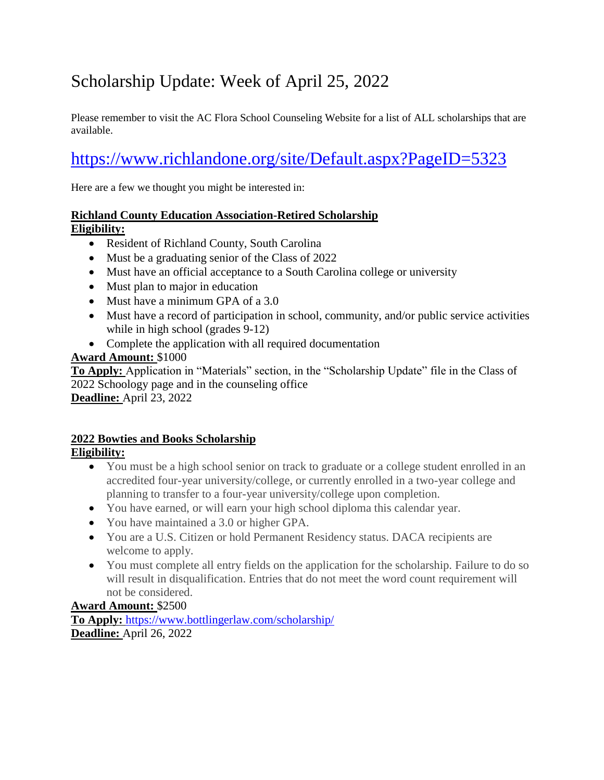# Scholarship Update: Week of April 25, 2022

Please remember to visit the AC Flora School Counseling Website for a list of ALL scholarships that are available.

# <https://www.richlandone.org/site/Default.aspx?PageID=5323>

Here are a few we thought you might be interested in:

#### **Richland County Education Association-Retired Scholarship Eligibility:**

- Resident of Richland County, South Carolina
- Must be a graduating senior of the Class of 2022
- Must have an official acceptance to a South Carolina college or university
- Must plan to major in education
- Must have a minimum GPA of a 3.0
- Must have a record of participation in school, community, and/or public service activities while in high school (grades 9-12)
- Complete the application with all required documentation

# **Award Amount:** \$1000

**To Apply:** Application in "Materials" section, in the "Scholarship Update" file in the Class of 2022 Schoology page and in the counseling office **Deadline:** April 23, 2022

# **2022 Bowties and Books Scholarship**

# **Eligibility:**

- You must be a high school senior on track to graduate or a college student enrolled in an accredited four-year university/college, or currently enrolled in a two-year college and planning to transfer to a four-year university/college upon completion.
- You have earned, or will earn your high school diploma this calendar year.
- You have maintained a 3.0 or higher GPA.
- You are a U.S. Citizen or hold Permanent Residency status. DACA recipients are welcome to apply.
- You must complete all entry fields on the application for the scholarship. Failure to do so will result in disqualification. Entries that do not meet the word count requirement will not be considered.

### **Award Amount:** \$2500

**To Apply:** <https://www.bottlingerlaw.com/scholarship/> **Deadline:** April 26, 2022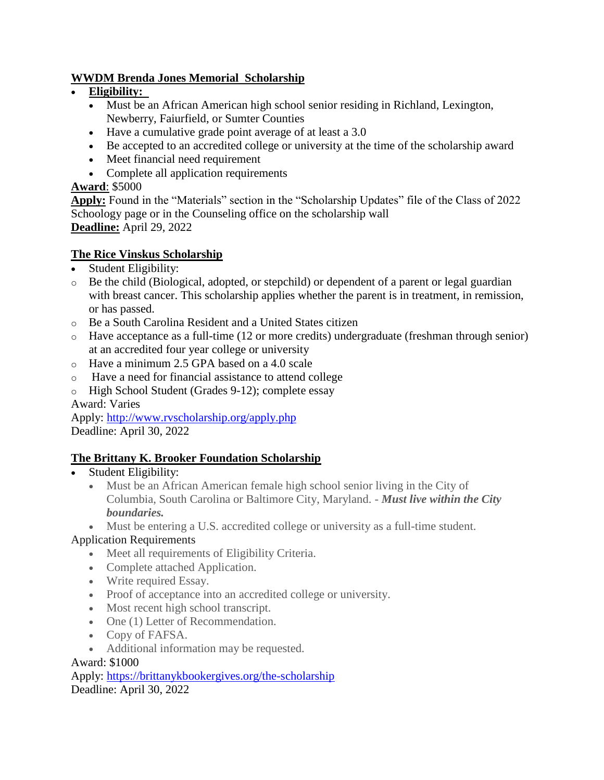# **WWDM Brenda Jones Memorial Scholarship**

- **Eligibility:**
	- Must be an African American high school senior residing in Richland, Lexington, Newberry, Faiurfield, or Sumter Counties
	- Have a cumulative grade point average of at least a 3.0
	- Be accepted to an accredited college or university at the time of the scholarship award
	- Meet financial need requirement
	- Complete all application requirements

# **Award**: \$5000

**Apply:** Found in the "Materials" section in the "Scholarship Updates" file of the Class of 2022 Schoology page or in the Counseling office on the scholarship wall **Deadline:** April 29, 2022

# **The Rice Vinskus Scholarship**

- Student Eligibility:
- o Be the child (Biological, adopted, or stepchild) or dependent of a parent or legal guardian with breast cancer. This scholarship applies whether the parent is in treatment, in remission, or has passed.
- o Be a South Carolina Resident and a United States citizen
- o Have acceptance as a full-time (12 or more credits) undergraduate (freshman through senior) at an accredited four year college or university
- o Have a minimum 2.5 GPA based on a 4.0 scale
- o Have a need for financial assistance to attend college
- o High School Student (Grades 9-12); complete essay

Award: Varies

Apply: <http://www.rvscholarship.org/apply.php> Deadline: April 30, 2022

# **The Brittany K. Brooker Foundation Scholarship**

- Student Eligibility:
	- Must be an African American female high school senior living in the City of Columbia, South Carolina or Baltimore City, Maryland. - *Must live within the City boundaries.*
	- Must be entering a U.S. accredited college or university as a full-time student.

### Application Requirements

- Meet all requirements of Eligibility Criteria.
- Complete attached Application.
- Write required Essay.
- Proof of acceptance into an accredited college or university.
- Most recent high school transcript.
- One (1) Letter of Recommendation.
- Copy of FAFSA.

Additional information may be requested.

### Award: \$1000

Apply: <https://brittanykbookergives.org/the-scholarship> Deadline: April 30, 2022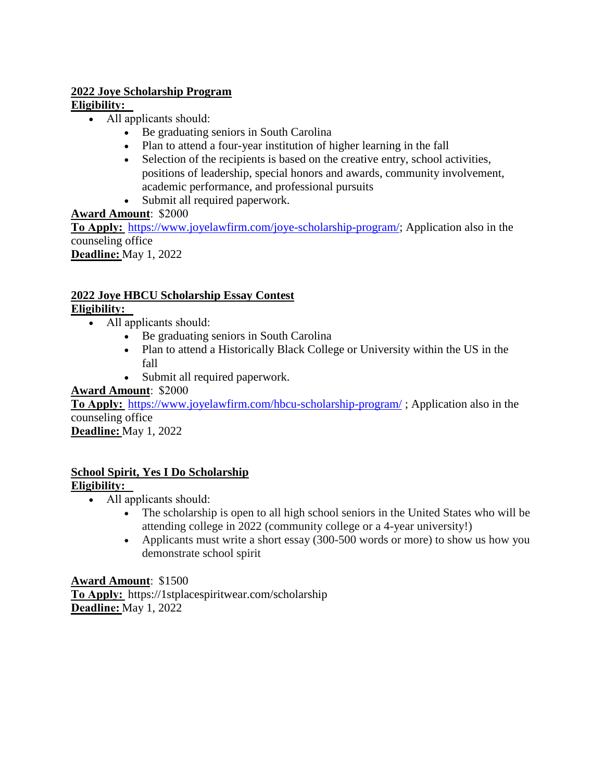# **2022 Joye Scholarship Program**

# **Eligibility:**

- All applicants should:
	- Be graduating seniors in South Carolina
	- Plan to attend a four-year institution of higher learning in the fall
	- Selection of the recipients is based on the creative entry, school activities, positions of leadership, special honors and awards, community involvement, academic performance, and professional pursuits
	- Submit all required paperwork.

# **Award Amount**:  \$2000

**To Apply:** [https://www.joyelawfirm.com/joye-scholarship-program/;](https://www.joyelawfirm.com/joye-scholarship-program/) Application also in the counseling office **Deadline:**May 1, 2022

# **2022 Joye HBCU Scholarship Essay Contest**

# **Eligibility:**

- All applicants should:
	- Be graduating seniors in South Carolina
	- Plan to attend a Historically Black College or University within the US in the fall
	- Submit all required paperwork.

# **Award Amount**:  \$2000

**To Apply:** <https://www.joyelawfirm.com/hbcu-scholarship-program/>; Application also in the counseling office

**Deadline:**May 1, 2022

#### **School Spirit, Yes I Do Scholarship Eligibility:**

- All applicants should:
	- The scholarship is open to all high school seniors in the United States who will be attending college in 2022 (community college or a 4-year university!)
	- Applicants must write a short essay (300-500 words or more) to show us how you demonstrate school spirit

#### **Award Amount**:  \$1500 **To Apply:** https://1stplacespiritwear.com/scholarship **Deadline:**May 1, 2022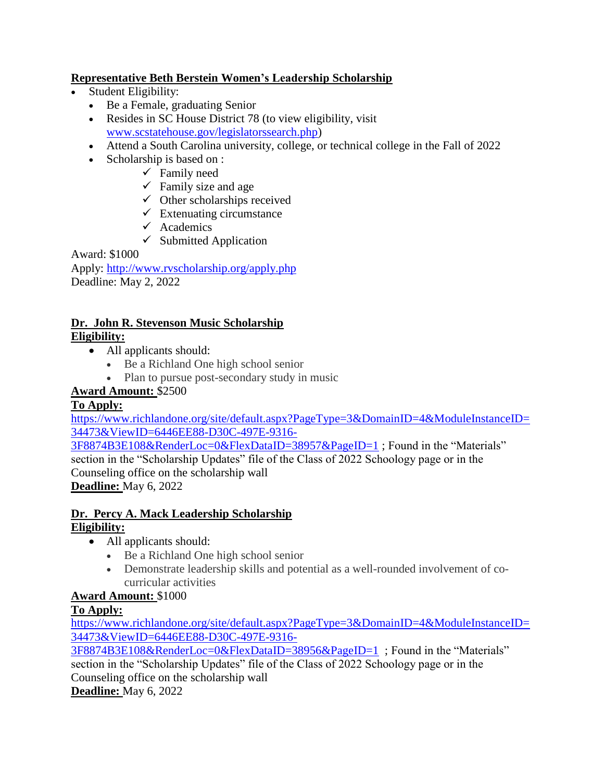# **Representative Beth Berstein Women's Leadership Scholarship**

- Student Eligibility:
	- Be a Female, graduating Senior
	- Resides in SC House District 78 (to view eligibility, visit [www.scstatehouse.gov/legislatorssearch.php\)](http://www.scstatehouse.gov/legislatorssearch.php)
	- Attend a South Carolina university, college, or technical college in the Fall of 2022
	- Scholarship is based on :
		- $\checkmark$  Family need
			- $\checkmark$  Family size and age
			- $\checkmark$  Other scholarships received
			- $\checkmark$  Extenuating circumstance
		- $\checkmark$  Academics
		- $\checkmark$  Submitted Application

Award: \$1000

Apply: <http://www.rvscholarship.org/apply.php> Deadline: May 2, 2022

#### **Dr. John R. Stevenson Music Scholarship Eligibility:**

- All applicants should:
	- Be a Richland One high school senior
	- Plan to pursue post-secondary study in music

# **Award Amount:** \$2500

# **To Apply:**

[https://www.richlandone.org/site/default.aspx?PageType=3&DomainID=4&ModuleInstanceID=](https://www.richlandone.org/site/default.aspx?PageType=3&DomainID=4&ModuleInstanceID=34473&ViewID=6446EE88-D30C-497E-9316-3F8874B3E108&RenderLoc=0&FlexDataID=38957&PageID=1) [34473&ViewID=6446EE88-D30C-497E-9316-](https://www.richlandone.org/site/default.aspx?PageType=3&DomainID=4&ModuleInstanceID=34473&ViewID=6446EE88-D30C-497E-9316-3F8874B3E108&RenderLoc=0&FlexDataID=38957&PageID=1)

[3F8874B3E108&RenderLoc=0&FlexDataID=38957&PageID=1](https://www.richlandone.org/site/default.aspx?PageType=3&DomainID=4&ModuleInstanceID=34473&ViewID=6446EE88-D30C-497E-9316-3F8874B3E108&RenderLoc=0&FlexDataID=38957&PageID=1) ; Found in the "Materials" section in the "Scholarship Updates" file of the Class of 2022 Schoology page or in the Counseling office on the scholarship wall

**Deadline:** May 6, 2022

### **Dr. Percy A. Mack Leadership Scholarship Eligibility:**

- All applicants should:
	- Be a Richland One high school senior
	- Demonstrate leadership skills and potential as a well-rounded involvement of cocurricular activities

# **Award Amount:** \$1000

# **To Apply:**

[https://www.richlandone.org/site/default.aspx?PageType=3&DomainID=4&ModuleInstanceID=](https://www.richlandone.org/site/default.aspx?PageType=3&DomainID=4&ModuleInstanceID=34473&ViewID=6446EE88-D30C-497E-9316-3F8874B3E108&RenderLoc=0&FlexDataID=38956&PageID=1) [34473&ViewID=6446EE88-D30C-497E-9316-](https://www.richlandone.org/site/default.aspx?PageType=3&DomainID=4&ModuleInstanceID=34473&ViewID=6446EE88-D30C-497E-9316-3F8874B3E108&RenderLoc=0&FlexDataID=38956&PageID=1)

[3F8874B3E108&RenderLoc=0&FlexDataID=38956&PageID=1](https://www.richlandone.org/site/default.aspx?PageType=3&DomainID=4&ModuleInstanceID=34473&ViewID=6446EE88-D30C-497E-9316-3F8874B3E108&RenderLoc=0&FlexDataID=38956&PageID=1) ; Found in the "Materials" section in the "Scholarship Updates" file of the Class of 2022 Schoology page or in the Counseling office on the scholarship wall

**Deadline:** May 6, 2022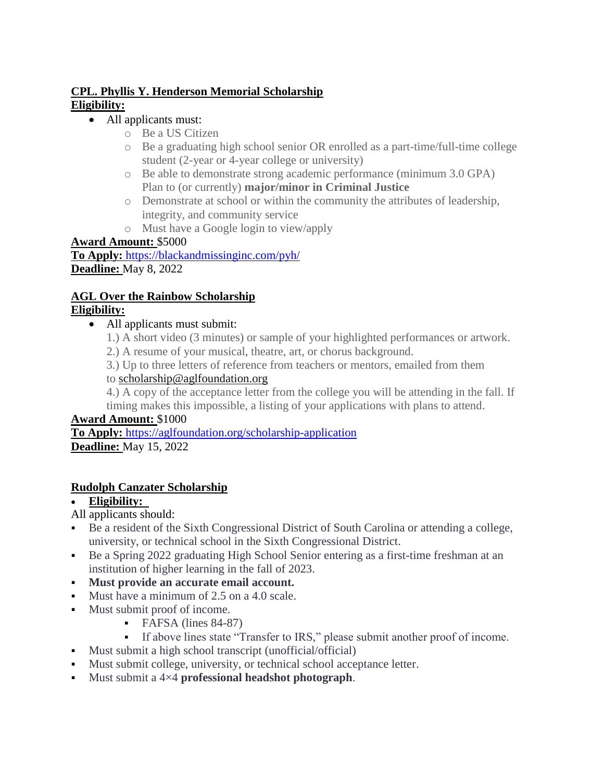# **CPL. Phyllis Y. Henderson Memorial Scholarship Eligibility:**

- All applicants must:
	- o Be a US Citizen
	- o Be a graduating high school senior OR enrolled as a part-time/full-time college student (2-year or 4-year college or university)
	- o Be able to demonstrate strong academic performance (minimum 3.0 GPA) Plan to (or currently) **major/minor in Criminal Justice**
	- o Demonstrate at school or within the community the attributes of leadership, integrity, and community service
	- o Must have a Google login to view/apply

# **Award Amount:** \$5000

**To Apply:** <https://blackandmissinginc.com/pyh/> **Deadline:** May 8, 2022

### **AGL Over the Rainbow Scholarship Eligibility:**

- All applicants must submit:
	- 1.) A short video (3 minutes) or sample of your highlighted performances or artwork.
	- 2.) A resume of your musical, theatre, art, or chorus background.

3.) Up to three letters of reference from teachers or mentors, emailed from them

# to [scholarship@aglfoundation.org](mailto:scholarship@aglfoundation.org)

4.) A copy of the acceptance letter from the college you will be attending in the fall. If timing makes this impossible, a listing of your applications with plans to attend.

# **Award Amount:** \$1000

**To Apply:** <https://aglfoundation.org/scholarship-application> **Deadline:** May 15, 2022

# **Rudolph Canzater Scholarship**

# **Eligibility:**

All applicants should:

- Be a resident of the Sixth Congressional District of South Carolina or attending a college, university, or technical school in the Sixth Congressional District.
- Be a Spring 2022 graduating High School Senior entering as a first-time freshman at an institution of higher learning in the fall of 2023.
- **Must provide an accurate email account.**
- Must have a minimum of 2.5 on a 4.0 scale.
- Must submit proof of income.
	- **FAFSA** (lines 84-87)
	- If above lines state "Transfer to IRS," please submit another proof of income.
- Must submit a high school transcript (unofficial/official)
- Must submit college, university, or technical school acceptance letter.
- Must submit a 4×4 **professional headshot photograph**.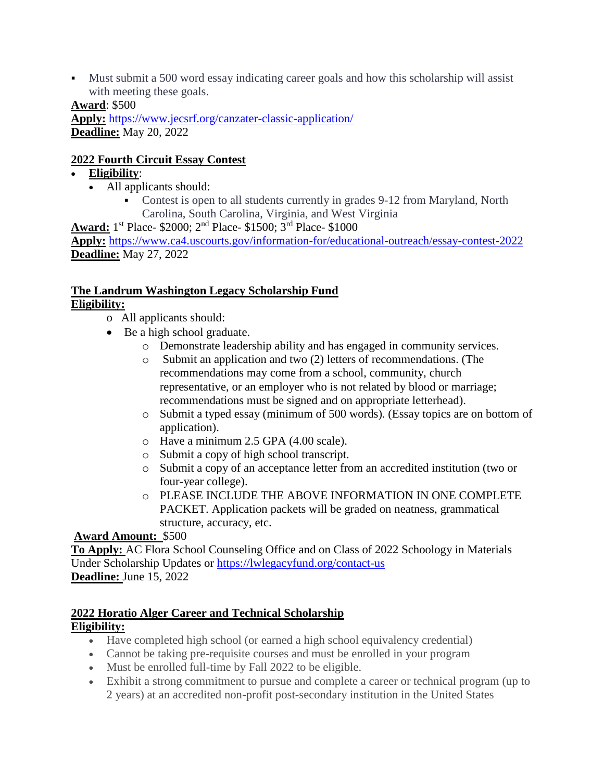Must submit a 500 word essay indicating career goals and how this scholarship will assist with meeting these goals.

### **Award**: \$500

**Apply:** <https://www.jecsrf.org/canzater-classic-application/> **Deadline:** May 20, 2022

### **2022 Fourth Circuit Essay Contest**

### **Eligibility**:

- All applicants should:
	- Contest is open to all students currently in grades 9-12 from Maryland, North Carolina, South Carolina, Virginia, and West Virginia

**Award:** 1 st Place- \$2000; 2nd Place- \$1500; 3rd Place- \$1000

**Apply:** <https://www.ca4.uscourts.gov/information-for/educational-outreach/essay-contest-2022> **Deadline:** May 27, 2022

#### **The Landrum Washington Legacy Scholarship Fund Eligibility:**

- o All applicants should:
- Be a high school graduate.
	- o Demonstrate leadership ability and has engaged in community services.
	- o Submit an application and two (2) letters of recommendations. (The recommendations may come from a school, community, church representative, or an employer who is not related by blood or marriage; recommendations must be signed and on appropriate letterhead).
	- o Submit a typed essay (minimum of 500 words). (Essay topics are on bottom of application).
	- o Have a minimum 2.5 GPA (4.00 scale).
	- o Submit a copy of high school transcript.
	- o Submit a copy of an acceptance letter from an accredited institution (two or four-year college).
	- o PLEASE INCLUDE THE ABOVE INFORMATION IN ONE COMPLETE PACKET. Application packets will be graded on neatness, grammatical structure, accuracy, etc.

### **Award Amount:** \$500

**To Apply:** [AC](http://www.hamptonwildlifefund.org/scholarship.html) Flora School Counseling Office and on Class of 2022 Schoology in Materials Under Scholarship Updates or<https://lwlegacyfund.org/contact-us> **Deadline:** June 15, 2022

# **2022 Horatio Alger Career and Technical Scholarship Eligibility:**

- Have completed high school (or earned a high school equivalency credential)
- Cannot be taking pre-requisite courses and must be enrolled in your program
- Must be enrolled full-time by Fall 2022 to be eligible.
- Exhibit a strong commitment to pursue and complete a career or technical program (up to 2 years) at an accredited non-profit post-secondary institution in the United States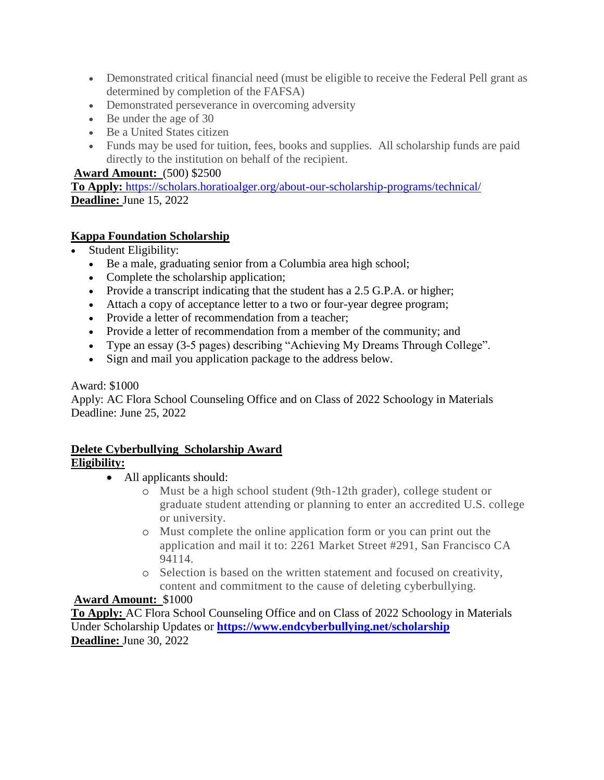- Demonstrated critical financial need (must be eligible to receive the Federal Pell grant as determined by completion of the FAFSA)
- Demonstrated perseverance in overcoming adversity
- Be under the age of 30
- Be a United States citizen
- Funds may be used for tuition, fees, books and supplies. All scholarship funds are paid directly to the institution on behalf of the recipient.

# **Award Amount:** (500) \$2500

**To Apply:** <https://scholars.horatioalger.org/about-our-scholarship-programs/technical/> **Deadline:** June 15, 2022

# **Kappa Foundation Scholarship**

- Student Eligibility:
	- Be a male, graduating senior from a Columbia area high school;
	- Complete the scholarship application;
	- Provide a transcript indicating that the student has a 2.5 G.P.A. or higher;
	- Attach a copy of acceptance letter to a two or four-year degree program;
	- Provide a letter of recommendation from a teacher;
	- Provide a letter of recommendation from a member of the community; and
	- Type an essay (3-5 pages) describing "Achieving My Dreams Through College".
	- Sign and mail you application package to the address below.

# Award: \$1000

Apply: [AC](http://www.hamptonwildlifefund.org/scholarship.html) Flora School Counseling Office and on Class of 2022 Schoology in Materials Deadline: June 25, 2022

#### **Delete Cyberbullying Scholarship Award Eligibility:**

- All applicants should:
	- o Must be a high school student (9th-12th grader), college student or graduate student attending or planning to enter an accredited U.S. college or university.
	- o Must complete the online application form or you can print out the application and mail it to: 2261 Market Street #291, San Francisco CA 94114.
	- o Selection is based on the written statement and focused on creativity, content and commitment to the cause of deleting cyberbullying.

# **Award Amount:** \$1000

**To Apply:** [AC](http://www.hamptonwildlifefund.org/scholarship.html) Flora School Counseling Office and on Class of 2022 Schoology in Materials Under Scholarship Updates or **<https://www.endcyberbullying.net/scholarship> Deadline:** June 30, 2022